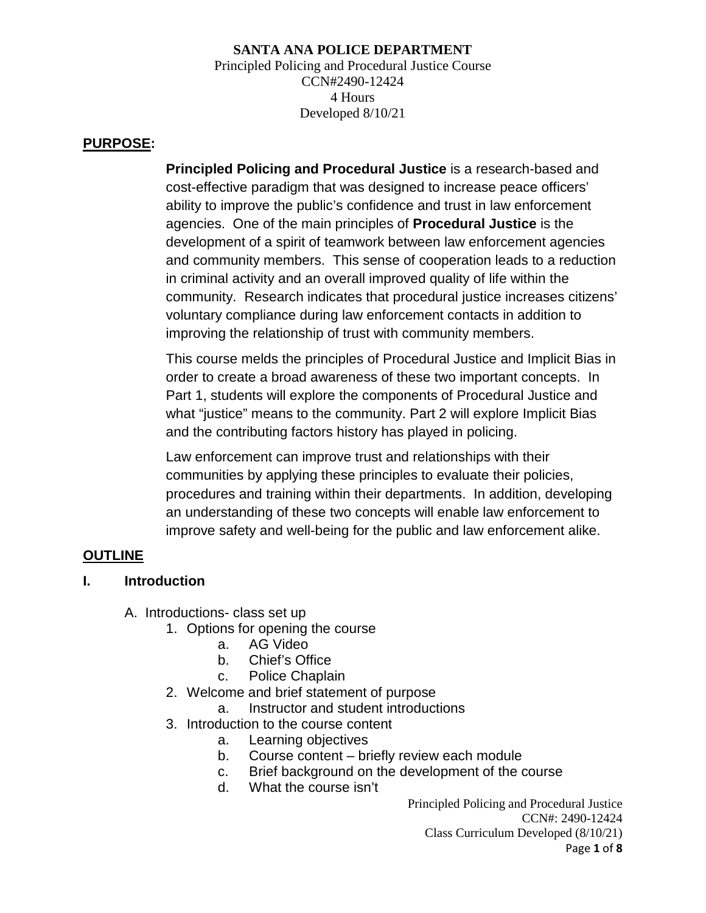#### **SANTA ANA POLICE DEPARTMENT** Principled Policing and Procedural Justice Course CCN#2490-12424 4 Hours Developed 8/10/21

#### **PURPOSE:**

**Principled Policing and Procedural Justice** is a research-based and cost-effective paradigm that was designed to increase peace officers' ability to improve the public's confidence and trust in law enforcement agencies. One of the main principles of **Procedural Justice** is the development of a spirit of teamwork between law enforcement agencies and community members. This sense of cooperation leads to a reduction in criminal activity and an overall improved quality of life within the community. Research indicates that procedural justice increases citizens' voluntary compliance during law enforcement contacts in addition to improving the relationship of trust with community members.

This course melds the principles of Procedural Justice and Implicit Bias in order to create a broad awareness of these two important concepts. In Part 1, students will explore the components of Procedural Justice and what "justice" means to the community. Part 2 will explore Implicit Bias and the contributing factors history has played in policing.

Law enforcement can improve trust and relationships with their communities by applying these principles to evaluate their policies, procedures and training within their departments. In addition, developing an understanding of these two concepts will enable law enforcement to improve safety and well-being for the public and law enforcement alike.

## **OUTLINE**

## **I. Introduction**

A. Introductions- class set up

- 1. Options for opening the course
	- a. AG Video
	- b. Chief's Office
	- c. Police Chaplain
- 2. Welcome and brief statement of purpose
	- a. Instructor and student introductions
- 3. Introduction to the course content
	- a. Learning objectives
	- b. Course content briefly review each module
	- c. Brief background on the development of the course
	- d. What the course isn't

Principled Policing and Procedural Justice CCN#: 2490-12424 Class Curriculum Developed (8/10/21) Page **1** of **8**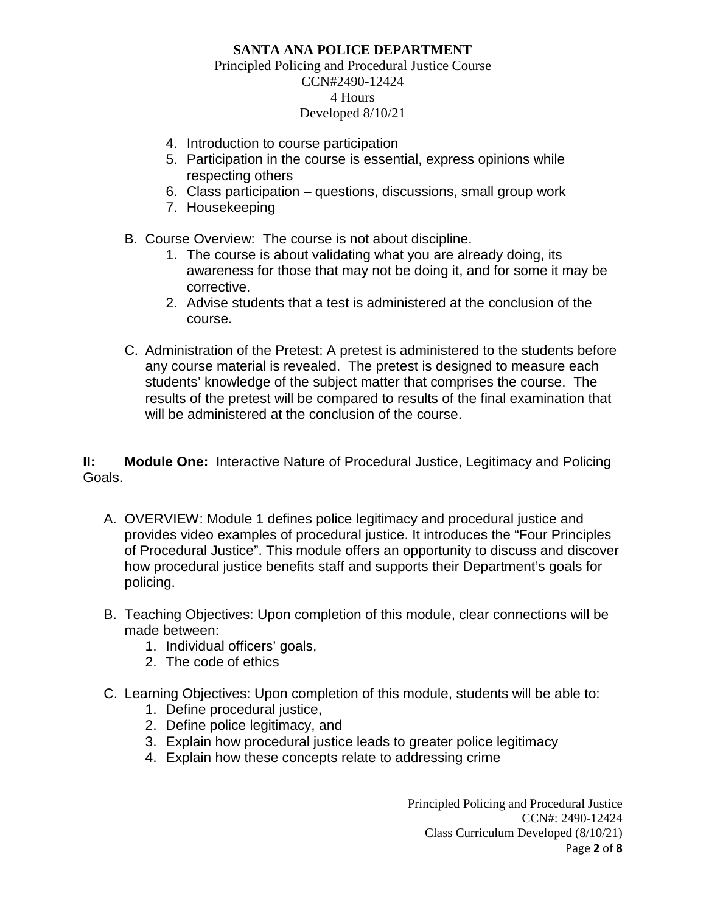#### Principled Policing and Procedural Justice Course CCN#2490-12424 4 Hours Developed 8/10/21

- 4. Introduction to course participation
- 5. Participation in the course is essential, express opinions while respecting others
- 6. Class participation questions, discussions, small group work
- 7. Housekeeping
- B. Course Overview: The course is not about discipline.
	- 1. The course is about validating what you are already doing, its awareness for those that may not be doing it, and for some it may be corrective.
	- 2. Advise students that a test is administered at the conclusion of the course.
- C. Administration of the Pretest: A pretest is administered to the students before any course material is revealed. The pretest is designed to measure each students' knowledge of the subject matter that comprises the course. The results of the pretest will be compared to results of the final examination that will be administered at the conclusion of the course.

**II: Module One:** Interactive Nature of Procedural Justice, Legitimacy and Policing Goals.

- A. OVERVIEW: Module 1 defines police legitimacy and procedural justice and provides video examples of procedural justice. It introduces the "Four Principles of Procedural Justice". This module offers an opportunity to discuss and discover how procedural justice benefits staff and supports their Department's goals for policing.
- B. Teaching Objectives: Upon completion of this module, clear connections will be made between:
	- 1. Individual officers' goals,
	- 2. The code of ethics
- C. Learning Objectives: Upon completion of this module, students will be able to:
	- 1. Define procedural justice,
	- 2. Define police legitimacy, and
	- 3. Explain how procedural justice leads to greater police legitimacy
	- 4. Explain how these concepts relate to addressing crime

Principled Policing and Procedural Justice CCN#: 2490-12424 Class Curriculum Developed (8/10/21) Page **2** of **8**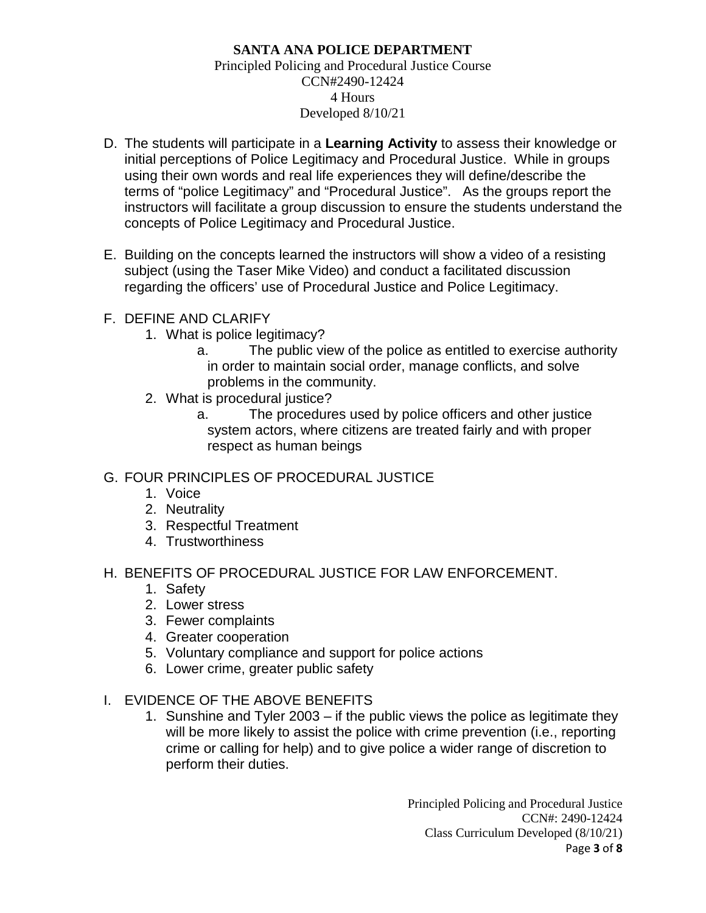#### **SANTA ANA POLICE DEPARTMENT** Principled Policing and Procedural Justice Course CCN#2490-12424 4 Hours Developed 8/10/21

- D. The students will participate in a **Learning Activity** to assess their knowledge or initial perceptions of Police Legitimacy and Procedural Justice. While in groups using their own words and real life experiences they will define/describe the terms of "police Legitimacy" and "Procedural Justice". As the groups report the instructors will facilitate a group discussion to ensure the students understand the concepts of Police Legitimacy and Procedural Justice.
- E. Building on the concepts learned the instructors will show a video of a resisting subject (using the Taser Mike Video) and conduct a facilitated discussion regarding the officers' use of Procedural Justice and Police Legitimacy.

# F. DEFINE AND CLARIFY

- 1. What is police legitimacy?
	- a. The public view of the police as entitled to exercise authority in order to maintain social order, manage conflicts, and solve problems in the community.
- 2. What is procedural justice?
	- a. The procedures used by police officers and other justice system actors, where citizens are treated fairly and with proper respect as human beings

# G. FOUR PRINCIPLES OF PROCEDURAL JUSTICE

- 1. Voice
- 2. Neutrality
- 3. Respectful Treatment
- 4. Trustworthiness

## H. BENEFITS OF PROCEDURAL JUSTICE FOR LAW ENFORCEMENT.

- 1. Safety
- 2. Lower stress
- 3. Fewer complaints
- 4. Greater cooperation
- 5. Voluntary compliance and support for police actions
- 6. Lower crime, greater public safety
- I. EVIDENCE OF THE ABOVE BENEFITS
	- 1. Sunshine and Tyler 2003 if the public views the police as legitimate they will be more likely to assist the police with crime prevention (i.e., reporting crime or calling for help) and to give police a wider range of discretion to perform their duties.

Principled Policing and Procedural Justice CCN#: 2490-12424 Class Curriculum Developed (8/10/21) Page **3** of **8**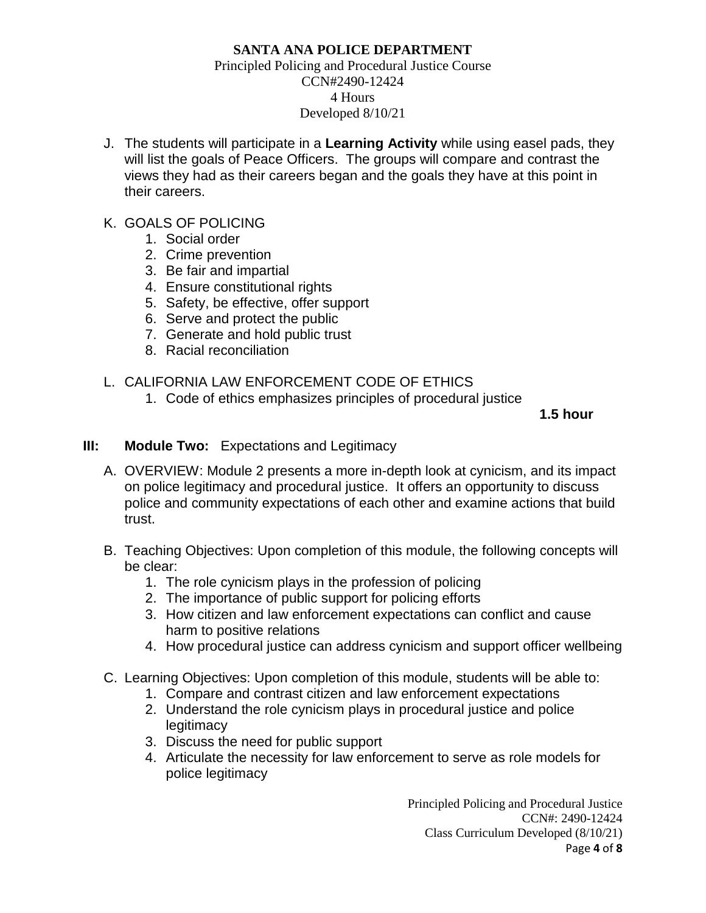#### Principled Policing and Procedural Justice Course CCN#2490-12424 4 Hours Developed 8/10/21

- J. The students will participate in a **Learning Activity** while using easel pads, they will list the goals of Peace Officers. The groups will compare and contrast the views they had as their careers began and the goals they have at this point in their careers.
- K. GOALS OF POLICING
	- 1. Social order
	- 2. Crime prevention
	- 3. Be fair and impartial
	- 4. Ensure constitutional rights
	- 5. Safety, be effective, offer support
	- 6. Serve and protect the public
	- 7. Generate and hold public trust
	- 8. Racial reconciliation

# L. CALIFORNIA LAW ENFORCEMENT CODE OF ETHICS

1. Code of ethics emphasizes principles of procedural justice

**1.5 hour**

# **III: Module Two:** Expectations and Legitimacy

- A. OVERVIEW: Module 2 presents a more in-depth look at cynicism, and its impact on police legitimacy and procedural justice. It offers an opportunity to discuss police and community expectations of each other and examine actions that build trust.
- B. Teaching Objectives: Upon completion of this module, the following concepts will be clear:
	- 1. The role cynicism plays in the profession of policing
	- 2. The importance of public support for policing efforts
	- 3. How citizen and law enforcement expectations can conflict and cause harm to positive relations
	- 4. How procedural justice can address cynicism and support officer wellbeing
- C. Learning Objectives: Upon completion of this module, students will be able to:
	- 1. Compare and contrast citizen and law enforcement expectations
	- 2. Understand the role cynicism plays in procedural justice and police **legitimacy**
	- 3. Discuss the need for public support
	- 4. Articulate the necessity for law enforcement to serve as role models for police legitimacy

Principled Policing and Procedural Justice CCN#: 2490-12424 Class Curriculum Developed (8/10/21) Page **4** of **8**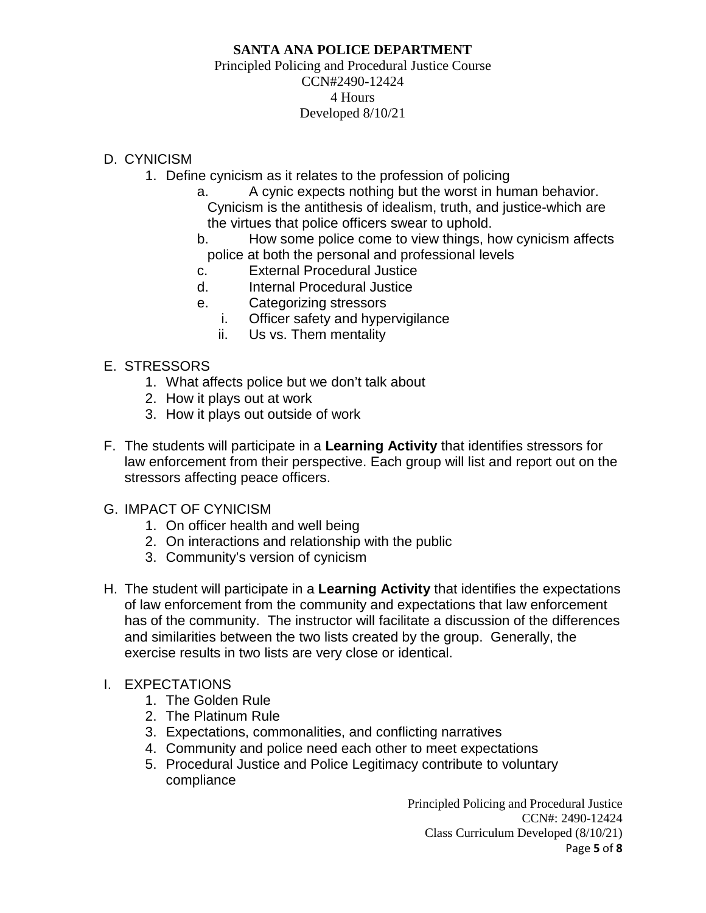#### Principled Policing and Procedural Justice Course CCN#2490-12424 4 Hours Developed 8/10/21

# D. CYNICISM

- 1. Define cynicism as it relates to the profession of policing
	- a. A cynic expects nothing but the worst in human behavior. Cynicism is the antithesis of idealism, truth, and justice-which are the virtues that police officers swear to uphold.
	- b. How some police come to view things, how cynicism affects police at both the personal and professional levels
	- c. External Procedural Justice
	- d. Internal Procedural Justice
	- e. Categorizing stressors
		- i. Officer safety and hypervigilance
		- ii. Us vs. Them mentality

# E. STRESSORS

- 1. What affects police but we don't talk about
- 2. How it plays out at work
- 3. How it plays out outside of work
- F. The students will participate in a **Learning Activity** that identifies stressors for law enforcement from their perspective. Each group will list and report out on the stressors affecting peace officers.

## G. IMPACT OF CYNICISM

- 1. On officer health and well being
- 2. On interactions and relationship with the public
- 3. Community's version of cynicism
- H. The student will participate in a **Learning Activity** that identifies the expectations of law enforcement from the community and expectations that law enforcement has of the community. The instructor will facilitate a discussion of the differences and similarities between the two lists created by the group. Generally, the exercise results in two lists are very close or identical.

## I. EXPECTATIONS

- 1. The Golden Rule
- 2. The Platinum Rule
- 3. Expectations, commonalities, and conflicting narratives
- 4. Community and police need each other to meet expectations
- 5. Procedural Justice and Police Legitimacy contribute to voluntary compliance

Principled Policing and Procedural Justice CCN#: 2490-12424 Class Curriculum Developed (8/10/21) Page **5** of **8**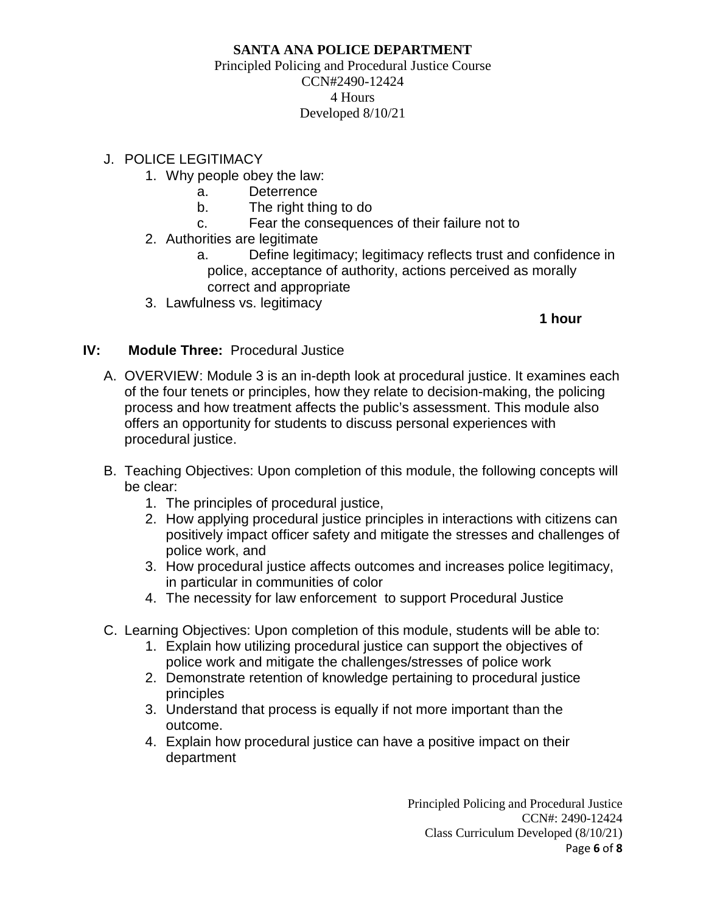#### Principled Policing and Procedural Justice Course CCN#2490-12424 4 Hours Developed 8/10/21

## J. POLICE LEGITIMACY

- 1. Why people obey the law:
	- a. Deterrence
	- b. The right thing to do
	- c. Fear the consequences of their failure not to
- 2. Authorities are legitimate
	- a. Define legitimacy; legitimacy reflects trust and confidence in police, acceptance of authority, actions perceived as morally correct and appropriate
- 3. Lawfulness vs. legitimacy

# **1 hour**

# **IV: Module Three:** Procedural Justice

- A. OVERVIEW: Module 3 is an in-depth look at procedural justice. It examines each of the four tenets or principles, how they relate to decision-making, the policing process and how treatment affects the public's assessment. This module also offers an opportunity for students to discuss personal experiences with procedural justice.
- B. Teaching Objectives: Upon completion of this module, the following concepts will be clear:
	- 1. The principles of procedural justice,
	- 2. How applying procedural justice principles in interactions with citizens can positively impact officer safety and mitigate the stresses and challenges of police work, and
	- 3. How procedural justice affects outcomes and increases police legitimacy, in particular in communities of color
	- 4. The necessity for law enforcement to support Procedural Justice
- C. Learning Objectives: Upon completion of this module, students will be able to:
	- 1. Explain how utilizing procedural justice can support the objectives of police work and mitigate the challenges/stresses of police work
	- 2. Demonstrate retention of knowledge pertaining to procedural justice principles
	- 3. Understand that process is equally if not more important than the outcome.
	- 4. Explain how procedural justice can have a positive impact on their department

Principled Policing and Procedural Justice CCN#: 2490-12424 Class Curriculum Developed (8/10/21) Page **6** of **8**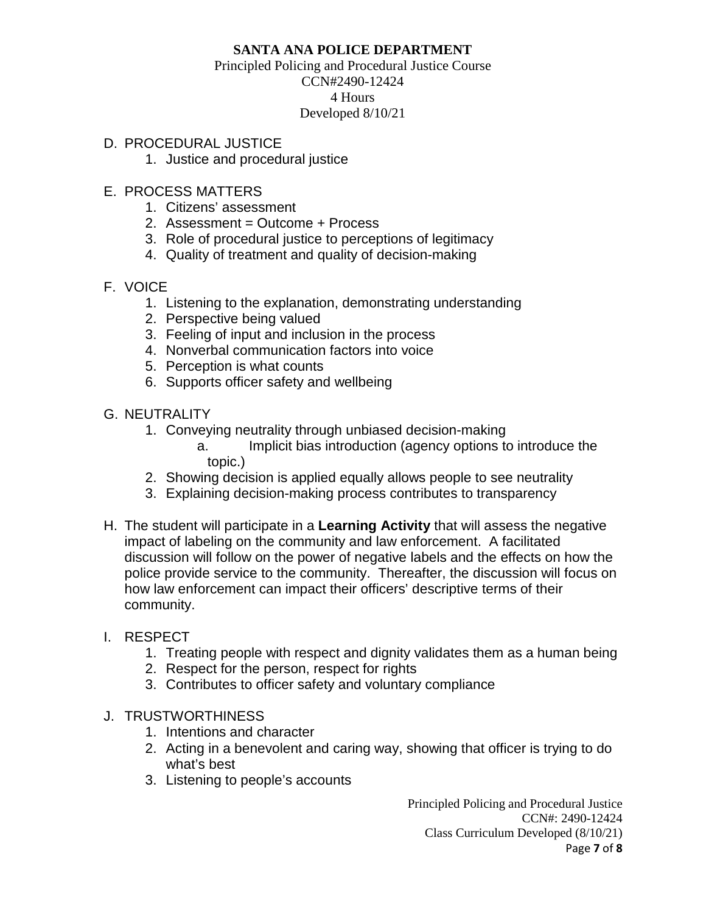#### Principled Policing and Procedural Justice Course CCN#2490-12424 4 Hours Developed 8/10/21

## D. PROCEDURAL JUSTICE

1. Justice and procedural justice

# E. PROCESS MATTERS

- 1. Citizens' assessment
- 2. Assessment = Outcome + Process
- 3. Role of procedural justice to perceptions of legitimacy
- 4. Quality of treatment and quality of decision-making

# F. VOICE

- 1. Listening to the explanation, demonstrating understanding
- 2. Perspective being valued
- 3. Feeling of input and inclusion in the process
- 4. Nonverbal communication factors into voice
- 5. Perception is what counts
- 6. Supports officer safety and wellbeing
- G. NEUTRALITY
	- 1. Conveying neutrality through unbiased decision-making
		- a. Implicit bias introduction (agency options to introduce the topic.)
	- 2. Showing decision is applied equally allows people to see neutrality
	- 3. Explaining decision-making process contributes to transparency
- H. The student will participate in a **Learning Activity** that will assess the negative impact of labeling on the community and law enforcement. A facilitated discussion will follow on the power of negative labels and the effects on how the police provide service to the community. Thereafter, the discussion will focus on how law enforcement can impact their officers' descriptive terms of their community.

## I. RESPECT

- 1. Treating people with respect and dignity validates them as a human being
- 2. Respect for the person, respect for rights
- 3. Contributes to officer safety and voluntary compliance
- J. TRUSTWORTHINESS
	- 1. Intentions and character
	- 2. Acting in a benevolent and caring way, showing that officer is trying to do what's best
	- 3. Listening to people's accounts

Principled Policing and Procedural Justice CCN#: 2490-12424 Class Curriculum Developed (8/10/21) Page **7** of **8**